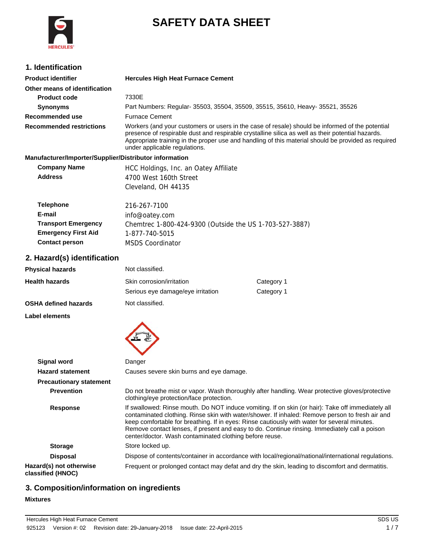

# **SAFETY DATA SHEET**

## **1. Identification**

| <b>Product identifier</b>                              | <b>Hercules High Heat Furnace Cement</b>                                                                                                                                                                                                                                                                                                                                                                                                                         |                                                                                                     |  |
|--------------------------------------------------------|------------------------------------------------------------------------------------------------------------------------------------------------------------------------------------------------------------------------------------------------------------------------------------------------------------------------------------------------------------------------------------------------------------------------------------------------------------------|-----------------------------------------------------------------------------------------------------|--|
| Other means of identification                          |                                                                                                                                                                                                                                                                                                                                                                                                                                                                  |                                                                                                     |  |
| <b>Product code</b>                                    | 7330E                                                                                                                                                                                                                                                                                                                                                                                                                                                            |                                                                                                     |  |
| <b>Synonyms</b>                                        | Part Numbers: Regular- 35503, 35504, 35509, 35515, 35610, Heavy- 35521, 35526                                                                                                                                                                                                                                                                                                                                                                                    |                                                                                                     |  |
| <b>Recommended use</b>                                 | <b>Furnace Cement</b>                                                                                                                                                                                                                                                                                                                                                                                                                                            |                                                                                                     |  |
| <b>Recommended restrictions</b>                        | Workers (and your customers or users in the case of resale) should be informed of the potential<br>presence of respirable dust and respirable crystalline silica as well as their potential hazards.<br>Appropriate training in the proper use and handling of this material should be provided as required<br>under applicable regulations.                                                                                                                     |                                                                                                     |  |
| Manufacturer/Importer/Supplier/Distributor information |                                                                                                                                                                                                                                                                                                                                                                                                                                                                  |                                                                                                     |  |
| <b>Company Name</b>                                    | HCC Holdings, Inc. an Oatey Affiliate                                                                                                                                                                                                                                                                                                                                                                                                                            |                                                                                                     |  |
| <b>Address</b>                                         | 4700 West 160th Street                                                                                                                                                                                                                                                                                                                                                                                                                                           |                                                                                                     |  |
|                                                        | Cleveland, OH 44135                                                                                                                                                                                                                                                                                                                                                                                                                                              |                                                                                                     |  |
| <b>Telephone</b>                                       | 216-267-7100                                                                                                                                                                                                                                                                                                                                                                                                                                                     |                                                                                                     |  |
| E-mail                                                 | info@oatey.com                                                                                                                                                                                                                                                                                                                                                                                                                                                   |                                                                                                     |  |
| <b>Transport Emergency</b>                             | Chemtrec 1-800-424-9300 (Outside the US 1-703-527-3887)                                                                                                                                                                                                                                                                                                                                                                                                          |                                                                                                     |  |
| <b>Emergency First Aid</b>                             | 1-877-740-5015                                                                                                                                                                                                                                                                                                                                                                                                                                                   |                                                                                                     |  |
| <b>Contact person</b>                                  | <b>MSDS Coordinator</b>                                                                                                                                                                                                                                                                                                                                                                                                                                          |                                                                                                     |  |
| 2. Hazard(s) identification                            |                                                                                                                                                                                                                                                                                                                                                                                                                                                                  |                                                                                                     |  |
| <b>Physical hazards</b>                                | Not classified.                                                                                                                                                                                                                                                                                                                                                                                                                                                  |                                                                                                     |  |
| <b>Health hazards</b>                                  | Skin corrosion/irritation                                                                                                                                                                                                                                                                                                                                                                                                                                        | Category 1                                                                                          |  |
|                                                        | Serious eye damage/eye irritation                                                                                                                                                                                                                                                                                                                                                                                                                                | Category 1                                                                                          |  |
| <b>OSHA defined hazards</b>                            | Not classified.                                                                                                                                                                                                                                                                                                                                                                                                                                                  |                                                                                                     |  |
| Label elements                                         |                                                                                                                                                                                                                                                                                                                                                                                                                                                                  |                                                                                                     |  |
| <b>Signal word</b>                                     | Danger                                                                                                                                                                                                                                                                                                                                                                                                                                                           |                                                                                                     |  |
| <b>Hazard statement</b>                                | Causes severe skin burns and eye damage.                                                                                                                                                                                                                                                                                                                                                                                                                         |                                                                                                     |  |
| <b>Precautionary statement</b>                         |                                                                                                                                                                                                                                                                                                                                                                                                                                                                  |                                                                                                     |  |
| <b>Prevention</b>                                      | Do not breathe mist or vapor. Wash thoroughly after handling. Wear protective gloves/protective<br>clothing/eye protection/face protection.                                                                                                                                                                                                                                                                                                                      |                                                                                                     |  |
| <b>Response</b>                                        | If swallowed: Rinse mouth. Do NOT induce vomiting. If on skin (or hair): Take off immediately all<br>contaminated clothing. Rinse skin with water/shower. If inhaled: Remove person to fresh air and<br>keep comfortable for breathing. If in eyes: Rinse cautiously with water for several minutes.<br>Remove contact lenses, if present and easy to do. Continue rinsing. Immediately call a poison<br>center/doctor. Wash contaminated clothing before reuse. |                                                                                                     |  |
| <b>Storage</b>                                         | Store locked up.                                                                                                                                                                                                                                                                                                                                                                                                                                                 |                                                                                                     |  |
| <b>Disposal</b>                                        |                                                                                                                                                                                                                                                                                                                                                                                                                                                                  | Dispose of contents/container in accordance with local/regional/national/international regulations. |  |
| Hazard(s) not otherwise<br>classified (HNOC)           | Frequent or prolonged contact may defat and dry the skin, leading to discomfort and dermatitis.                                                                                                                                                                                                                                                                                                                                                                  |                                                                                                     |  |

## **3. Composition/information on ingredients**

#### **Mixtures**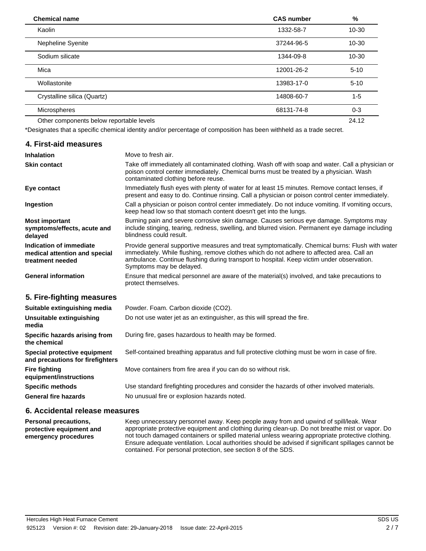| <b>Chemical name</b>                     | <b>CAS number</b> | $\%$      |
|------------------------------------------|-------------------|-----------|
| Kaolin                                   | 1332-58-7         | $10 - 30$ |
| Nepheline Syenite                        | 37244-96-5        | $10 - 30$ |
| Sodium silicate                          | 1344-09-8         | $10 - 30$ |
| Mica                                     | 12001-26-2        | $5 - 10$  |
| Wollastonite                             | 13983-17-0        | $5 - 10$  |
| Crystalline silica (Quartz)              | 14808-60-7        | $1 - 5$   |
| Microspheres                             | 68131-74-8        | $0 - 3$   |
| Other components below reportable levels |                   | 24.12     |

\*Designates that a specific chemical identity and/or percentage of composition has been withheld as a trade secret.

## **4. First-aid measures**

| <b>Inhalation</b>                                                            | Move to fresh air.                                                                                                                                                                                                                                                                                                    |
|------------------------------------------------------------------------------|-----------------------------------------------------------------------------------------------------------------------------------------------------------------------------------------------------------------------------------------------------------------------------------------------------------------------|
| <b>Skin contact</b>                                                          | Take off immediately all contaminated clothing. Wash off with soap and water. Call a physician or<br>poison control center immediately. Chemical burns must be treated by a physician. Wash<br>contaminated clothing before reuse.                                                                                    |
| Eye contact                                                                  | Immediately flush eyes with plenty of water for at least 15 minutes. Remove contact lenses, if<br>present and easy to do. Continue rinsing. Call a physician or poison control center immediately.                                                                                                                    |
| Ingestion                                                                    | Call a physician or poison control center immediately. Do not induce vomiting. If vomiting occurs,<br>keep head low so that stomach content doesn't get into the lungs.                                                                                                                                               |
| <b>Most important</b><br>symptoms/effects, acute and<br>delayed              | Burning pain and severe corrosive skin damage. Causes serious eye damage. Symptoms may<br>include stinging, tearing, redness, swelling, and blurred vision. Permanent eye damage including<br>blindness could result.                                                                                                 |
| Indication of immediate<br>medical attention and special<br>treatment needed | Provide general supportive measures and treat symptomatically. Chemical burns: Flush with water<br>immediately. While flushing, remove clothes which do not adhere to affected area. Call an<br>ambulance. Continue flushing during transport to hospital. Keep victim under observation.<br>Symptoms may be delayed. |
| <b>General information</b>                                                   | Ensure that medical personnel are aware of the material(s) involved, and take precautions to<br>protect themselves.                                                                                                                                                                                                   |
| 5. Fire-fighting measures                                                    |                                                                                                                                                                                                                                                                                                                       |
| Suitable extinguishing media                                                 | Powder. Foam. Carbon dioxide (CO2).                                                                                                                                                                                                                                                                                   |
| Unsuitable extinguishing<br>media                                            | Do not use water jet as an extinguisher, as this will spread the fire.                                                                                                                                                                                                                                                |
| Specific hazards arising from<br>the chemical                                | During fire, gases hazardous to health may be formed.                                                                                                                                                                                                                                                                 |
| Special protective equipment<br>and precautions for firefighters             | Self-contained breathing apparatus and full protective clothing must be worn in case of fire.                                                                                                                                                                                                                         |
| <b>Fire fighting</b><br>equipment/instructions                               | Move containers from fire area if you can do so without risk.                                                                                                                                                                                                                                                         |
| <b>Specific methods</b>                                                      | Use standard firefighting procedures and consider the hazards of other involved materials.                                                                                                                                                                                                                            |
| <b>General fire hazards</b>                                                  | No unusual fire or explosion hazards noted.                                                                                                                                                                                                                                                                           |
|                                                                              |                                                                                                                                                                                                                                                                                                                       |

### **6. Accidental release measures**

Keep unnecessary personnel away. Keep people away from and upwind of spill/leak. Wear appropriate protective equipment and clothing during clean-up. Do not breathe mist or vapor. Do not touch damaged containers or spilled material unless wearing appropriate protective clothing. Ensure adequate ventilation. Local authorities should be advised if significant spillages cannot be contained. For personal protection, see section 8 of the SDS. **Personal precautions, protective equipment and emergency procedures**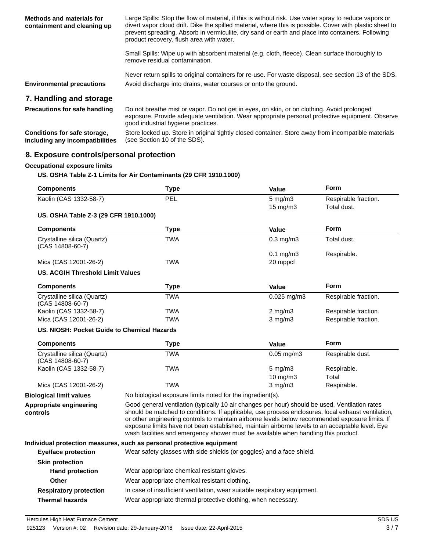| <b>Methods and materials for</b><br>containment and cleaning up | Large Spills: Stop the flow of material, if this is without risk. Use water spray to reduce vapors or<br>divert vapor cloud drift. Dike the spilled material, where this is possible. Cover with plastic sheet to<br>prevent spreading. Absorb in vermiculite, dry sand or earth and place into containers. Following<br>product recovery, flush area with water. |
|-----------------------------------------------------------------|-------------------------------------------------------------------------------------------------------------------------------------------------------------------------------------------------------------------------------------------------------------------------------------------------------------------------------------------------------------------|
|                                                                 | Small Spills: Wipe up with absorbent material (e.g. cloth, fleece). Clean surface thoroughly to<br>remove residual contamination.                                                                                                                                                                                                                                 |
| <b>Environmental precautions</b>                                | Never return spills to original containers for re-use. For waste disposal, see section 13 of the SDS.<br>Avoid discharge into drains, water courses or onto the ground.                                                                                                                                                                                           |
| 7. Handling and storage                                         |                                                                                                                                                                                                                                                                                                                                                                   |
| <b>Precautions for safe handling</b>                            | Do not breathe mist or vapor. Do not get in eyes, on skin, or on clothing. Avoid prolonged<br>exposure. Provide adequate ventilation. Wear appropriate personal protective equipment. Observe<br>good industrial hygiene practices.                                                                                                                               |
| Conditions for safe storage,<br>including any incompatibilities | Store locked up. Store in original tightly closed container. Store away from incompatible materials<br>(see Section 10 of the SDS).                                                                                                                                                                                                                               |

## **8. Exposure controls/personal protection**

#### **Occupational exposure limits**

#### **US. OSHA Table Z-1 Limits for Air Contaminants (29 CFR 1910.1000)**

| <b>Components</b>                               | <b>Type</b>                                                                                                                                                                                                                                                                                                                                                                                                                                                                                      | Value                                                                     | <b>Form</b>          |
|-------------------------------------------------|--------------------------------------------------------------------------------------------------------------------------------------------------------------------------------------------------------------------------------------------------------------------------------------------------------------------------------------------------------------------------------------------------------------------------------------------------------------------------------------------------|---------------------------------------------------------------------------|----------------------|
| Kaolin (CAS 1332-58-7)                          | PEL                                                                                                                                                                                                                                                                                                                                                                                                                                                                                              | $5$ mg/m $3$                                                              | Respirable fraction. |
|                                                 |                                                                                                                                                                                                                                                                                                                                                                                                                                                                                                  | 15 mg/m3                                                                  | Total dust.          |
| US. OSHA Table Z-3 (29 CFR 1910.1000)           |                                                                                                                                                                                                                                                                                                                                                                                                                                                                                                  |                                                                           |                      |
| <b>Components</b>                               | <b>Type</b>                                                                                                                                                                                                                                                                                                                                                                                                                                                                                      | Value                                                                     | <b>Form</b>          |
| Crystalline silica (Quartz)<br>(CAS 14808-60-7) | <b>TWA</b>                                                                                                                                                                                                                                                                                                                                                                                                                                                                                       | $0.3$ mg/m $3$                                                            | Total dust.          |
|                                                 |                                                                                                                                                                                                                                                                                                                                                                                                                                                                                                  | $0.1$ mg/m $3$                                                            | Respirable.          |
| Mica (CAS 12001-26-2)                           | <b>TWA</b>                                                                                                                                                                                                                                                                                                                                                                                                                                                                                       | 20 mppcf                                                                  |                      |
| <b>US. ACGIH Threshold Limit Values</b>         |                                                                                                                                                                                                                                                                                                                                                                                                                                                                                                  |                                                                           |                      |
| <b>Components</b>                               | <b>Type</b>                                                                                                                                                                                                                                                                                                                                                                                                                                                                                      | <b>Value</b>                                                              | <b>Form</b>          |
| Crystalline silica (Quartz)<br>(CAS 14808-60-7) | <b>TWA</b>                                                                                                                                                                                                                                                                                                                                                                                                                                                                                       | $0.025$ mg/m3                                                             | Respirable fraction. |
| Kaolin (CAS 1332-58-7)                          | <b>TWA</b>                                                                                                                                                                                                                                                                                                                                                                                                                                                                                       | $2$ mg/m $3$                                                              | Respirable fraction. |
| Mica (CAS 12001-26-2)                           | <b>TWA</b>                                                                                                                                                                                                                                                                                                                                                                                                                                                                                       | $3$ mg/m $3$                                                              | Respirable fraction. |
| US. NIOSH: Pocket Guide to Chemical Hazards     |                                                                                                                                                                                                                                                                                                                                                                                                                                                                                                  |                                                                           |                      |
| <b>Components</b>                               | <b>Type</b>                                                                                                                                                                                                                                                                                                                                                                                                                                                                                      | Value                                                                     | <b>Form</b>          |
| Crystalline silica (Quartz)<br>(CAS 14808-60-7) | <b>TWA</b>                                                                                                                                                                                                                                                                                                                                                                                                                                                                                       | $0.05$ mg/m $3$                                                           | Respirable dust.     |
| Kaolin (CAS 1332-58-7)                          | TWA                                                                                                                                                                                                                                                                                                                                                                                                                                                                                              | $5$ mg/m $3$                                                              | Respirable.          |
|                                                 |                                                                                                                                                                                                                                                                                                                                                                                                                                                                                                  | 10 mg/m3                                                                  | Total                |
| Mica (CAS 12001-26-2)                           | TWA                                                                                                                                                                                                                                                                                                                                                                                                                                                                                              | $3$ mg/m $3$                                                              | Respirable.          |
| <b>Biological limit values</b>                  |                                                                                                                                                                                                                                                                                                                                                                                                                                                                                                  | No biological exposure limits noted for the ingredient(s).                |                      |
| Appropriate engineering<br>controls             | Good general ventilation (typically 10 air changes per hour) should be used. Ventilation rates<br>should be matched to conditions. If applicable, use process enclosures, local exhaust ventilation,<br>or other engineering controls to maintain airborne levels below recommended exposure limits. If<br>exposure limits have not been established, maintain airborne levels to an acceptable level. Eye<br>wash facilities and emergency shower must be available when handling this product. |                                                                           |                      |
|                                                 | Individual protection measures, such as personal protective equipment                                                                                                                                                                                                                                                                                                                                                                                                                            |                                                                           |                      |
| <b>Eye/face protection</b>                      | Wear safety glasses with side shields (or goggles) and a face shield.                                                                                                                                                                                                                                                                                                                                                                                                                            |                                                                           |                      |
| <b>Skin protection</b>                          |                                                                                                                                                                                                                                                                                                                                                                                                                                                                                                  |                                                                           |                      |
| <b>Hand protection</b>                          |                                                                                                                                                                                                                                                                                                                                                                                                                                                                                                  | Wear appropriate chemical resistant gloves.                               |                      |
| Other                                           | Wear appropriate chemical resistant clothing.                                                                                                                                                                                                                                                                                                                                                                                                                                                    |                                                                           |                      |
| <b>Respiratory protection</b>                   |                                                                                                                                                                                                                                                                                                                                                                                                                                                                                                  | In case of insufficient ventilation, wear suitable respiratory equipment. |                      |
| <b>Thermal hazards</b>                          | Wear appropriate thermal protective clothing, when necessary.                                                                                                                                                                                                                                                                                                                                                                                                                                    |                                                                           |                      |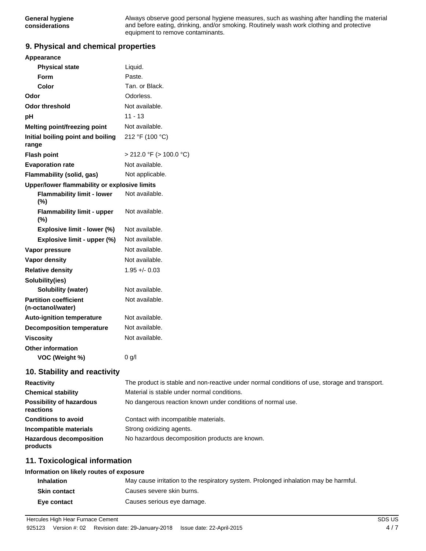Always observe good personal hygiene measures, such as washing after handling the material and before eating, drinking, and/or smoking. Routinely wash work clothing and protective equipment to remove contaminants.

#### **9. Physical and chemical properties**

| Appearance                                        |                              |  |
|---------------------------------------------------|------------------------------|--|
| <b>Physical state</b>                             | Liquid.                      |  |
| Form                                              | Paste.                       |  |
| Color                                             | Tan. or Black.               |  |
| Odor                                              | Odorless.                    |  |
| <b>Odor threshold</b>                             | Not available.               |  |
| pH                                                | $11 - 13$                    |  |
| Melting point/freezing point                      | Not available.               |  |
| Initial boiling point and boiling<br>range        | 212 °F (100 °C)              |  |
| <b>Flash point</b>                                | $>$ 212.0 °F ( $>$ 100.0 °C) |  |
| <b>Evaporation rate</b>                           | Not available.               |  |
| Flammability (solid, gas)                         | Not applicable.              |  |
| Upper/lower flammability or explosive limits      |                              |  |
| <b>Flammability limit - lower</b><br>(%)          | Not available.               |  |
| <b>Flammability limit - upper</b><br>(%)          | Not available.               |  |
| Explosive limit - lower (%)                       | Not available.               |  |
| Explosive limit - upper (%)                       | Not available.               |  |
| Vapor pressure                                    | Not available.               |  |
| Vapor density                                     | Not available.               |  |
| <b>Relative density</b>                           | $1.95 + - 0.03$              |  |
| Solubility(ies)                                   |                              |  |
| Solubility (water)                                | Not available.               |  |
| <b>Partition coefficient</b><br>(n-octanol/water) | Not available.               |  |
| <b>Auto-ignition temperature</b>                  | Not available.               |  |
| <b>Decomposition temperature</b>                  | Not available.               |  |
| <b>Viscosity</b>                                  | Not available.               |  |
| <b>Other information</b>                          |                              |  |
| VOC (Weight %)                                    | 0 g/l                        |  |
| 10. Stability and reactivity                      |                              |  |

| <b>Reactivity</b>                            | The product is stable and non-reactive under normal conditions of use, storage and transport. |
|----------------------------------------------|-----------------------------------------------------------------------------------------------|
| <b>Chemical stability</b>                    | Material is stable under normal conditions.                                                   |
| <b>Possibility of hazardous</b><br>reactions | No dangerous reaction known under conditions of normal use.                                   |
| <b>Conditions to avoid</b>                   | Contact with incompatible materials.                                                          |
| Incompatible materials                       | Strong oxidizing agents.                                                                      |
| <b>Hazardous decomposition</b><br>products   | No hazardous decomposition products are known.                                                |

## **11. Toxicological information**

#### **Information on likely routes of exposure**

| <b>Inhalation</b> | May cause irritation to the respiratory system. Prolonged inhalation may be harmful. |
|-------------------|--------------------------------------------------------------------------------------|
| Skin contact      | Causes severe skin burns.                                                            |
| Eye contact       | Causes serious eye damage.                                                           |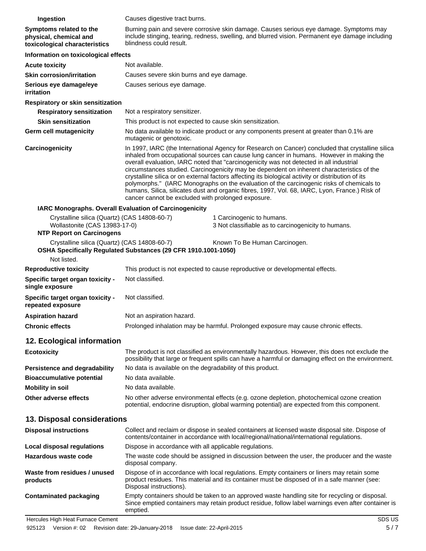| Ingestion                                                                                                         | Causes digestive tract burns.                                                                                                                                                                                                                                                                                                                                                                                                                                                                                                                                                                                                                                                                                                                     |  |
|-------------------------------------------------------------------------------------------------------------------|---------------------------------------------------------------------------------------------------------------------------------------------------------------------------------------------------------------------------------------------------------------------------------------------------------------------------------------------------------------------------------------------------------------------------------------------------------------------------------------------------------------------------------------------------------------------------------------------------------------------------------------------------------------------------------------------------------------------------------------------------|--|
| Symptoms related to the<br>physical, chemical and<br>toxicological characteristics                                | Burning pain and severe corrosive skin damage. Causes serious eye damage. Symptoms may<br>include stinging, tearing, redness, swelling, and blurred vision. Permanent eye damage including<br>blindness could result.                                                                                                                                                                                                                                                                                                                                                                                                                                                                                                                             |  |
| Information on toxicological effects                                                                              |                                                                                                                                                                                                                                                                                                                                                                                                                                                                                                                                                                                                                                                                                                                                                   |  |
| <b>Acute toxicity</b>                                                                                             | Not available.                                                                                                                                                                                                                                                                                                                                                                                                                                                                                                                                                                                                                                                                                                                                    |  |
| <b>Skin corrosion/irritation</b>                                                                                  | Causes severe skin burns and eye damage.                                                                                                                                                                                                                                                                                                                                                                                                                                                                                                                                                                                                                                                                                                          |  |
| Serious eye damage/eye<br>irritation                                                                              | Causes serious eye damage.                                                                                                                                                                                                                                                                                                                                                                                                                                                                                                                                                                                                                                                                                                                        |  |
| Respiratory or skin sensitization                                                                                 |                                                                                                                                                                                                                                                                                                                                                                                                                                                                                                                                                                                                                                                                                                                                                   |  |
| <b>Respiratory sensitization</b>                                                                                  | Not a respiratory sensitizer.                                                                                                                                                                                                                                                                                                                                                                                                                                                                                                                                                                                                                                                                                                                     |  |
| <b>Skin sensitization</b>                                                                                         | This product is not expected to cause skin sensitization.                                                                                                                                                                                                                                                                                                                                                                                                                                                                                                                                                                                                                                                                                         |  |
| <b>Germ cell mutagenicity</b>                                                                                     | No data available to indicate product or any components present at greater than 0.1% are<br>mutagenic or genotoxic.                                                                                                                                                                                                                                                                                                                                                                                                                                                                                                                                                                                                                               |  |
| Carcinogenicity                                                                                                   | In 1997, IARC (the International Agency for Research on Cancer) concluded that crystalline silica<br>inhaled from occupational sources can cause lung cancer in humans. However in making the<br>overall evaluation, IARC noted that "carcinogenicity was not detected in all industrial<br>circumstances studied. Carcinogenicity may be dependent on inherent characteristics of the<br>crystalline silica or on external factors affecting its biological activity or distribution of its<br>polymorphs." (IARC Monographs on the evaluation of the carcinogenic risks of chemicals to<br>humans, Silica, silicates dust and organic fibres, 1997, Vol. 68, IARC, Lyon, France.) Risk of<br>cancer cannot be excluded with prolonged exposure. |  |
| IARC Monographs. Overall Evaluation of Carcinogenicity                                                            |                                                                                                                                                                                                                                                                                                                                                                                                                                                                                                                                                                                                                                                                                                                                                   |  |
| Crystalline silica (Quartz) (CAS 14808-60-7)<br>Wollastonite (CAS 13983-17-0)<br><b>NTP Report on Carcinogens</b> | 1 Carcinogenic to humans.<br>3 Not classifiable as to carcinogenicity to humans.                                                                                                                                                                                                                                                                                                                                                                                                                                                                                                                                                                                                                                                                  |  |
| Crystalline silica (Quartz) (CAS 14808-60-7)<br>Not listed.                                                       | Known To Be Human Carcinogen.<br>OSHA Specifically Regulated Substances (29 CFR 1910.1001-1050)                                                                                                                                                                                                                                                                                                                                                                                                                                                                                                                                                                                                                                                   |  |
| <b>Reproductive toxicity</b>                                                                                      | This product is not expected to cause reproductive or developmental effects.                                                                                                                                                                                                                                                                                                                                                                                                                                                                                                                                                                                                                                                                      |  |
| Specific target organ toxicity -<br>single exposure                                                               | Not classified.                                                                                                                                                                                                                                                                                                                                                                                                                                                                                                                                                                                                                                                                                                                                   |  |
| Specific target organ toxicity -<br>repeated exposure                                                             | Not classified.                                                                                                                                                                                                                                                                                                                                                                                                                                                                                                                                                                                                                                                                                                                                   |  |
| <b>Aspiration hazard</b>                                                                                          | Not an aspiration hazard.                                                                                                                                                                                                                                                                                                                                                                                                                                                                                                                                                                                                                                                                                                                         |  |
| <b>Chronic effects</b>                                                                                            | Prolonged inhalation may be harmful. Prolonged exposure may cause chronic effects.                                                                                                                                                                                                                                                                                                                                                                                                                                                                                                                                                                                                                                                                |  |
|                                                                                                                   |                                                                                                                                                                                                                                                                                                                                                                                                                                                                                                                                                                                                                                                                                                                                                   |  |
| 12. Ecological information                                                                                        |                                                                                                                                                                                                                                                                                                                                                                                                                                                                                                                                                                                                                                                                                                                                                   |  |
| <b>Ecotoxicity</b>                                                                                                | The product is not classified as environmentally hazardous. However, this does not exclude the<br>possibility that large or frequent spills can have a harmful or damaging effect on the environment.                                                                                                                                                                                                                                                                                                                                                                                                                                                                                                                                             |  |
| Persistence and degradability                                                                                     | No data is available on the degradability of this product.                                                                                                                                                                                                                                                                                                                                                                                                                                                                                                                                                                                                                                                                                        |  |
| <b>Bioaccumulative potential</b>                                                                                  | No data available.                                                                                                                                                                                                                                                                                                                                                                                                                                                                                                                                                                                                                                                                                                                                |  |
| <b>Mobility in soil</b>                                                                                           | No data available.                                                                                                                                                                                                                                                                                                                                                                                                                                                                                                                                                                                                                                                                                                                                |  |
| Other adverse effects                                                                                             | No other adverse environmental effects (e.g. ozone depletion, photochemical ozone creation<br>potential, endocrine disruption, global warming potential) are expected from this component.                                                                                                                                                                                                                                                                                                                                                                                                                                                                                                                                                        |  |
| 13. Disposal considerations                                                                                       |                                                                                                                                                                                                                                                                                                                                                                                                                                                                                                                                                                                                                                                                                                                                                   |  |
| <b>Disposal instructions</b>                                                                                      | Collect and reclaim or dispose in sealed containers at licensed waste disposal site. Dispose of<br>contents/container in accordance with local/regional/national/international regulations.                                                                                                                                                                                                                                                                                                                                                                                                                                                                                                                                                       |  |
| Local disposal regulations                                                                                        | Dispose in accordance with all applicable regulations.                                                                                                                                                                                                                                                                                                                                                                                                                                                                                                                                                                                                                                                                                            |  |
| Hazardous waste code                                                                                              | The waste code should be assigned in discussion between the user, the producer and the waste<br>disposal company.                                                                                                                                                                                                                                                                                                                                                                                                                                                                                                                                                                                                                                 |  |
| Waste from residues / unused<br>products                                                                          | Dispose of in accordance with local regulations. Empty containers or liners may retain some<br>product residues. This material and its container must be disposed of in a safe manner (see:<br>Disposal instructions).                                                                                                                                                                                                                                                                                                                                                                                                                                                                                                                            |  |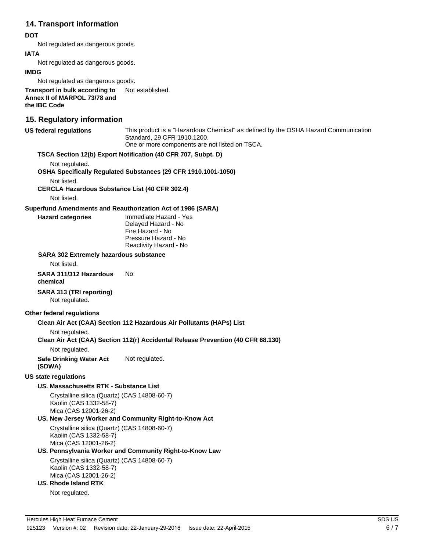## **14. Transport information**

#### **DOT**

Not regulated as dangerous goods.

### **IATA**

Not regulated as dangerous goods.

#### **IMDG**

Not regulated as dangerous goods.

**Transport in bulk according to** Not established. **Annex II of MARPOL 73/78 and the IBC Code**

## **15. Regulatory information**

| <b>US federal regulations</b>                                                                                                  | This product is a "Hazardous Chemical" as defined by the OSHA Hazard Communication<br>Standard, 29 CFR 1910.1200.<br>One or more components are not listed on TSCA. |
|--------------------------------------------------------------------------------------------------------------------------------|---------------------------------------------------------------------------------------------------------------------------------------------------------------------|
|                                                                                                                                | TSCA Section 12(b) Export Notification (40 CFR 707, Subpt. D)                                                                                                       |
| Not regulated.                                                                                                                 |                                                                                                                                                                     |
|                                                                                                                                | OSHA Specifically Regulated Substances (29 CFR 1910.1001-1050)                                                                                                      |
| Not listed.                                                                                                                    |                                                                                                                                                                     |
| <b>CERCLA Hazardous Substance List (40 CFR 302.4)</b>                                                                          |                                                                                                                                                                     |
| Not listed.                                                                                                                    |                                                                                                                                                                     |
| Superfund Amendments and Reauthorization Act of 1986 (SARA)                                                                    |                                                                                                                                                                     |
| <b>Hazard categories</b>                                                                                                       | Immediate Hazard - Yes<br>Delayed Hazard - No<br>Fire Hazard - No<br>Pressure Hazard - No<br>Reactivity Hazard - No                                                 |
| SARA 302 Extremely hazardous substance                                                                                         |                                                                                                                                                                     |
| Not listed.                                                                                                                    |                                                                                                                                                                     |
| SARA 311/312 Hazardous<br>chemical                                                                                             | No                                                                                                                                                                  |
| SARA 313 (TRI reporting)<br>Not regulated.                                                                                     |                                                                                                                                                                     |
| Other federal regulations                                                                                                      |                                                                                                                                                                     |
|                                                                                                                                | Clean Air Act (CAA) Section 112 Hazardous Air Pollutants (HAPs) List                                                                                                |
| Not regulated.                                                                                                                 |                                                                                                                                                                     |
|                                                                                                                                | Clean Air Act (CAA) Section 112(r) Accidental Release Prevention (40 CFR 68.130)                                                                                    |
| Not regulated.                                                                                                                 |                                                                                                                                                                     |
| <b>Safe Drinking Water Act</b><br>(SDWA)                                                                                       | Not regulated.                                                                                                                                                      |
| <b>US state regulations</b>                                                                                                    |                                                                                                                                                                     |
| US. Massachusetts RTK - Substance List                                                                                         |                                                                                                                                                                     |
| Crystalline silica (Quartz) (CAS 14808-60-7)<br>Kaolin (CAS 1332-58-7)<br>Mica (CAS 12001-26-2)                                |                                                                                                                                                                     |
|                                                                                                                                | US. New Jersey Worker and Community Right-to-Know Act                                                                                                               |
| Crystalline silica (Quartz) (CAS 14808-60-7)<br>Kaolin (CAS 1332-58-7)<br>Mica (CAS 12001-26-2)                                |                                                                                                                                                                     |
|                                                                                                                                | US. Pennsylvania Worker and Community Right-to-Know Law                                                                                                             |
| Crystalline silica (Quartz) (CAS 14808-60-7)<br>Kaolin (CAS 1332-58-7)<br>Mica (CAS 12001-26-2)<br><b>US. Rhode Island RTK</b> |                                                                                                                                                                     |
| Not regulated.                                                                                                                 |                                                                                                                                                                     |
|                                                                                                                                |                                                                                                                                                                     |